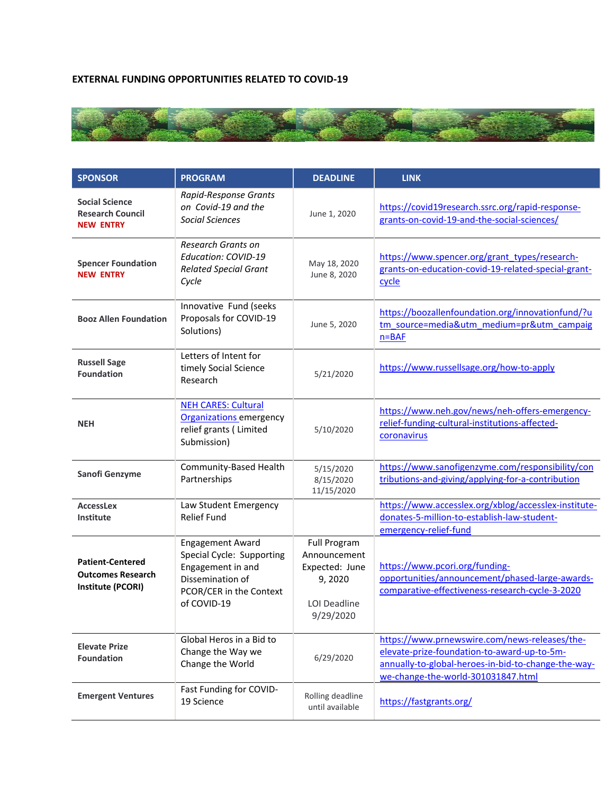## **EXTERNAL FUNDING OPPORTUNITIES RELATED TO COVID-19**



| <b>SPONSOR</b>                                                           | <b>PROGRAM</b>                                                                                                                          | <b>DEADLINE</b>                                                                                     | <b>LINK</b>                                                                                                                                                                               |
|--------------------------------------------------------------------------|-----------------------------------------------------------------------------------------------------------------------------------------|-----------------------------------------------------------------------------------------------------|-------------------------------------------------------------------------------------------------------------------------------------------------------------------------------------------|
| <b>Social Science</b><br><b>Research Council</b><br><b>NEW ENTRY</b>     | Rapid-Response Grants<br>on Covid-19 and the<br><b>Social Sciences</b>                                                                  | June 1, 2020                                                                                        | https://covid19research.ssrc.org/rapid-response-<br>grants-on-covid-19-and-the-social-sciences/                                                                                           |
| <b>Spencer Foundation</b><br><b>NEW ENTRY</b>                            | Research Grants on<br>Education: COVID-19<br><b>Related Special Grant</b><br>Cycle                                                      | May 18, 2020<br>June 8, 2020                                                                        | https://www.spencer.org/grant_types/research-<br>grants-on-education-covid-19-related-special-grant-<br>cycle                                                                             |
| <b>Booz Allen Foundation</b>                                             | Innovative Fund (seeks<br>Proposals for COVID-19<br>Solutions)                                                                          | June 5, 2020                                                                                        | https://boozallenfoundation.org/innovationfund/?u<br>tm source=media&utm medium=pr&utm campaig<br>$n = BAF$                                                                               |
| <b>Russell Sage</b><br><b>Foundation</b>                                 | Letters of Intent for<br>timely Social Science<br>Research                                                                              | 5/21/2020                                                                                           | https://www.russellsage.org/how-to-apply                                                                                                                                                  |
| <b>NEH</b>                                                               | <b>NEH CARES: Cultural</b><br><b>Organizations</b> emergency<br>relief grants (Limited<br>Submission)                                   | 5/10/2020                                                                                           | https://www.neh.gov/news/neh-offers-emergency-<br>relief-funding-cultural-institutions-affected-<br>coronavirus                                                                           |
| Sanofi Genzyme                                                           | Community-Based Health<br>Partnerships                                                                                                  | 5/15/2020<br>8/15/2020<br>11/15/2020                                                                | https://www.sanofigenzyme.com/responsibility/con<br>tributions-and-giving/applying-for-a-contribution                                                                                     |
| <b>AccessLex</b><br><b>Institute</b>                                     | Law Student Emergency<br><b>Relief Fund</b>                                                                                             |                                                                                                     | https://www.accesslex.org/xblog/accesslex-institute-<br>donates-5-million-to-establish-law-student-<br>emergency-relief-fund                                                              |
| <b>Patient-Centered</b><br><b>Outcomes Research</b><br>Institute (PCORI) | <b>Engagement Award</b><br>Special Cycle: Supporting<br>Engagement in and<br>Dissemination of<br>PCOR/CER in the Context<br>of COVID-19 | <b>Full Program</b><br>Announcement<br>Expected: June<br>9,2020<br><b>LOI Deadline</b><br>9/29/2020 | https://www.pcori.org/funding-<br>opportunities/announcement/phased-large-awards-<br>comparative-effectiveness-research-cycle-3-2020                                                      |
| <b>Elevate Prize</b><br><b>Foundation</b>                                | Global Heros in a Bid to<br>Change the Way we<br>Change the World                                                                       | 6/29/2020                                                                                           | https://www.prnewswire.com/news-releases/the-<br>elevate-prize-foundation-to-award-up-to-5m-<br>annually-to-global-heroes-in-bid-to-change-the-way-<br>we-change-the-world-301031847.html |
| <b>Emergent Ventures</b>                                                 | Fast Funding for COVID-<br>19 Science                                                                                                   | Rolling deadline<br>until available                                                                 | https://fastgrants.org/                                                                                                                                                                   |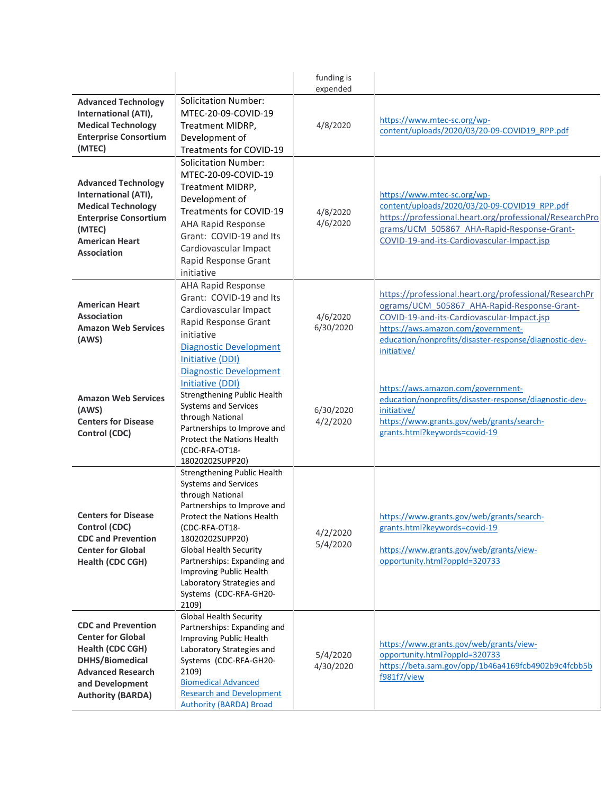|                                                                                                                                                                          |                                                                                                                                                                                                                                                                                                                                             | funding is<br>expended |                                                                                                                                                                                                                                                                    |
|--------------------------------------------------------------------------------------------------------------------------------------------------------------------------|---------------------------------------------------------------------------------------------------------------------------------------------------------------------------------------------------------------------------------------------------------------------------------------------------------------------------------------------|------------------------|--------------------------------------------------------------------------------------------------------------------------------------------------------------------------------------------------------------------------------------------------------------------|
| <b>Advanced Technology</b><br>International (ATI),<br><b>Medical Technology</b><br><b>Enterprise Consortium</b><br>(MTEC)                                                | <b>Solicitation Number:</b><br>MTEC-20-09-COVID-19<br>Treatment MIDRP,<br>Development of<br>Treatments for COVID-19                                                                                                                                                                                                                         | 4/8/2020               | https://www.mtec-sc.org/wp-<br>content/uploads/2020/03/20-09-COVID19 RPP.pdf                                                                                                                                                                                       |
| <b>Advanced Technology</b><br>International (ATI),<br><b>Medical Technology</b><br><b>Enterprise Consortium</b><br>(MTEC)<br><b>American Heart</b><br><b>Association</b> | <b>Solicitation Number:</b><br>MTEC-20-09-COVID-19<br>Treatment MIDRP,<br>Development of<br>Treatments for COVID-19<br><b>AHA Rapid Response</b><br>Grant: COVID-19 and Its<br>Cardiovascular Impact<br>Rapid Response Grant<br>initiative                                                                                                  | 4/8/2020<br>4/6/2020   | https://www.mtec-sc.org/wp-<br>content/uploads/2020/03/20-09-COVID19 RPP.pdf<br>https://professional.heart.org/professional/ResearchPro<br>grams/UCM 505867 AHA-Rapid-Response-Grant-<br>COVID-19-and-its-Cardiovascular-Impact.jsp                                |
| <b>American Heart</b><br><b>Association</b><br><b>Amazon Web Services</b><br>(AWS)                                                                                       | AHA Rapid Response<br>Grant: COVID-19 and Its<br>Cardiovascular Impact<br>Rapid Response Grant<br>initiative<br><b>Diagnostic Development</b><br><b>Initiative (DDI)</b>                                                                                                                                                                    | 4/6/2020<br>6/30/2020  | https://professional.heart.org/professional/ResearchPr<br>ograms/UCM 505867 AHA-Rapid-Response-Grant-<br>COVID-19-and-its-Cardiovascular-Impact.jsp<br>https://aws.amazon.com/government-<br>education/nonprofits/disaster-response/diagnostic-dev-<br>initiative/ |
| <b>Amazon Web Services</b><br>(AWS)<br><b>Centers for Disease</b><br>Control (CDC)                                                                                       | <b>Diagnostic Development</b><br>Initiative (DDI)<br><b>Strengthening Public Health</b><br><b>Systems and Services</b><br>through National<br>Partnerships to Improve and<br><b>Protect the Nations Health</b><br>(CDC-RFA-OT18-<br>18020202SUPP20)                                                                                         | 6/30/2020<br>4/2/2020  | https://aws.amazon.com/government-<br>education/nonprofits/disaster-response/diagnostic-dev-<br>initiative/<br>https://www.grants.gov/web/grants/search-<br>grants.html?keywords=covid-19                                                                          |
| <b>Centers for Disease</b><br>Control (CDC)<br><b>CDC and Prevention</b><br><b>Center for Global</b><br>Health (CDC CGH)                                                 | Strengthening Public Health<br>Systems and Services<br>through National<br>Partnerships to Improve and<br><b>Protect the Nations Health</b><br>(CDC-RFA-OT18-<br>18020202SUPP20)<br><b>Global Health Security</b><br>Partnerships: Expanding and<br>Improving Public Health<br>Laboratory Strategies and<br>Systems (CDC-RFA-GH20-<br>2109) | 4/2/2020<br>5/4/2020   | https://www.grants.gov/web/grants/search-<br>grants.html?keywords=covid-19<br>https://www.grants.gov/web/grants/view-<br>opportunity.html?oppId=320733                                                                                                             |
| <b>CDC and Prevention</b><br><b>Center for Global</b><br>Health (CDC CGH)<br>DHHS/Biomedical<br><b>Advanced Research</b><br>and Development<br><b>Authority (BARDA)</b>  | Global Health Security<br>Partnerships: Expanding and<br>Improving Public Health<br>Laboratory Strategies and<br>Systems (CDC-RFA-GH20-<br>2109)<br><b>Biomedical Advanced</b><br><b>Research and Development</b><br><b>Authority (BARDA) Broad</b>                                                                                         | 5/4/2020<br>4/30/2020  | https://www.grants.gov/web/grants/view-<br>opportunity.html?oppId=320733<br>https://beta.sam.gov/opp/1b46a4169fcb4902b9c4fcbb5b<br>f981f7/view                                                                                                                     |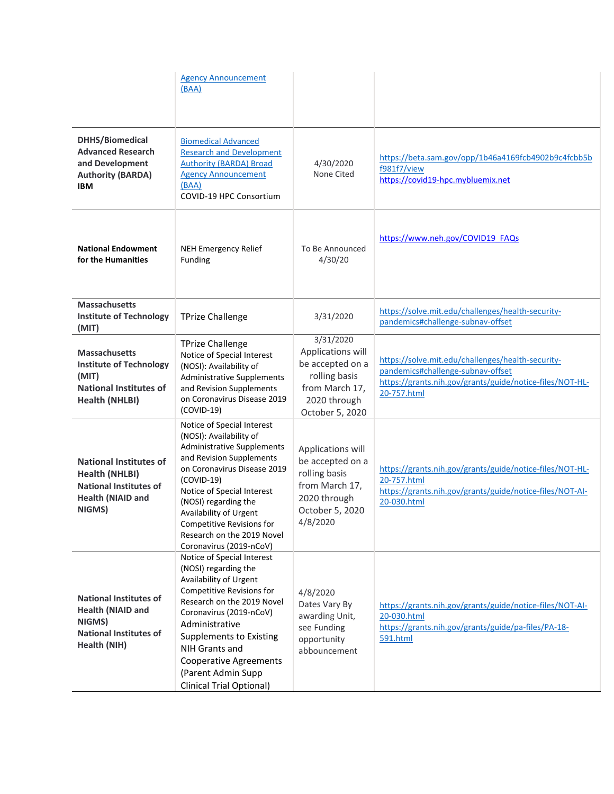|                                                                                                                               | <b>Agency Announcement</b><br>(BAA)                                                                                                                                                                                                                                                                                                                |                                                                                                                          |                                                                                                                                                                   |
|-------------------------------------------------------------------------------------------------------------------------------|----------------------------------------------------------------------------------------------------------------------------------------------------------------------------------------------------------------------------------------------------------------------------------------------------------------------------------------------------|--------------------------------------------------------------------------------------------------------------------------|-------------------------------------------------------------------------------------------------------------------------------------------------------------------|
| DHHS/Biomedical<br><b>Advanced Research</b><br>and Development<br><b>Authority (BARDA)</b><br>IBM                             | <b>Biomedical Advanced</b><br><b>Research and Development</b><br><b>Authority (BARDA) Broad</b><br><b>Agency Announcement</b><br>(BAA)<br>COVID-19 HPC Consortium                                                                                                                                                                                  | 4/30/2020<br>None Cited                                                                                                  | https://beta.sam.gov/opp/1b46a4169fcb4902b9c4fcbb5b<br>f981f7/view<br>https://covid19-hpc.mybluemix.net                                                           |
| <b>National Endowment</b><br>for the Humanities                                                                               | <b>NEH Emergency Relief</b><br>Funding                                                                                                                                                                                                                                                                                                             | To Be Announced<br>4/30/20                                                                                               | https://www.neh.gov/COVID19 FAQs                                                                                                                                  |
| <b>Massachusetts</b><br><b>Institute of Technology</b><br>(MIT)                                                               | <b>TPrize Challenge</b>                                                                                                                                                                                                                                                                                                                            | 3/31/2020                                                                                                                | https://solve.mit.edu/challenges/health-security-<br>pandemics#challenge-subnav-offset                                                                            |
| <b>Massachusetts</b><br><b>Institute of Technology</b><br>(MIT)<br><b>National Institutes of</b><br>Health (NHLBI)            | <b>TPrize Challenge</b><br>Notice of Special Interest<br>(NOSI): Availability of<br><b>Administrative Supplements</b><br>and Revision Supplements<br>on Coronavirus Disease 2019<br>$(COVID-19)$                                                                                                                                                   | 3/31/2020<br>Applications will<br>be accepted on a<br>rolling basis<br>from March 17,<br>2020 through<br>October 5, 2020 | https://solve.mit.edu/challenges/health-security-<br>pandemics#challenge-subnav-offset<br>https://grants.nih.gov/grants/guide/notice-files/NOT-HL-<br>20-757.html |
| <b>National Institutes of</b><br><b>Health (NHLBI)</b><br><b>National Institutes of</b><br><b>Health (NIAID and</b><br>NIGMS) | Notice of Special Interest<br>(NOSI): Availability of<br><b>Administrative Supplements</b><br>and Revision Supplements<br>on Coronavirus Disease 2019<br>$(COVID-19)$<br>Notice of Special Interest<br>(NOSI) regarding the<br>Availability of Urgent<br><b>Competitive Revisions for</b><br>Research on the 2019 Novel<br>Coronavirus (2019-nCoV) | Applications will<br>be accepted on a<br>rolling basis<br>from March 17,<br>2020 through<br>October 5, 2020<br>4/8/2020  | https://grants.nih.gov/grants/guide/notice-files/NOT-HL-<br>20-757.html<br>https://grants.nih.gov/grants/guide/notice-files/NOT-AI-<br>20-030.html                |
| <b>National Institutes of</b><br><b>Health (NIAID and</b><br>NIGMS)<br><b>National Institutes of</b><br>Health (NIH)          | Notice of Special Interest<br>(NOSI) regarding the<br>Availability of Urgent<br>Competitive Revisions for<br>Research on the 2019 Novel<br>Coronavirus (2019-nCoV)<br>Administrative<br><b>Supplements to Existing</b><br>NIH Grants and<br><b>Cooperative Agreements</b><br>(Parent Admin Supp<br><b>Clinical Trial Optional)</b>                 | 4/8/2020<br>Dates Vary By<br>awarding Unit,<br>see Funding<br>opportunity<br>abbouncement                                | https://grants.nih.gov/grants/guide/notice-files/NOT-AI-<br>20-030.html<br>https://grants.nih.gov/grants/guide/pa-files/PA-18-<br>591.html                        |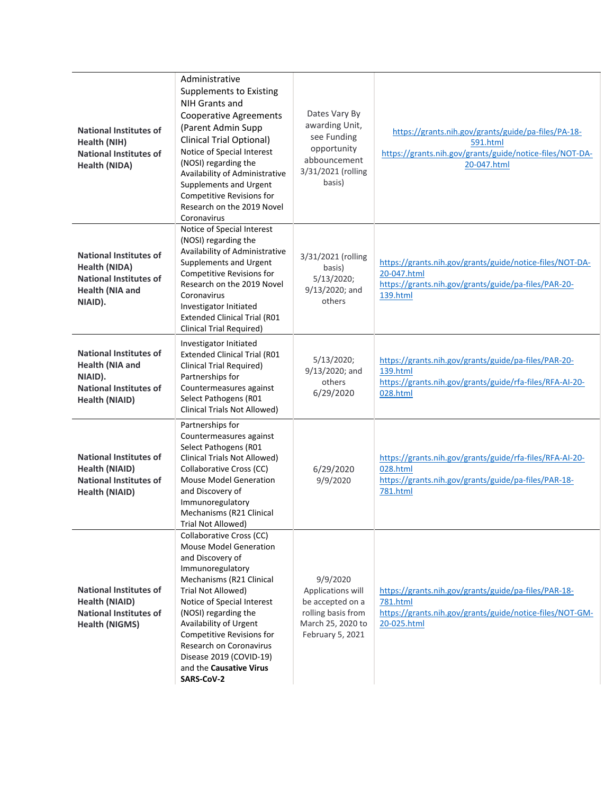| <b>National Institutes of</b><br>Health (NIH)<br><b>National Institutes of</b><br><b>Health (NIDA)</b>                       | Administrative<br>Supplements to Existing<br>NIH Grants and<br><b>Cooperative Agreements</b><br>(Parent Admin Supp<br><b>Clinical Trial Optional)</b><br>Notice of Special Interest<br>(NOSI) regarding the<br>Availability of Administrative<br>Supplements and Urgent<br>Competitive Revisions for<br>Research on the 2019 Novel<br>Coronavirus               | Dates Vary By<br>awarding Unit,<br>see Funding<br>opportunity<br>abbouncement<br>3/31/2021 (rolling<br>basis)    | https://grants.nih.gov/grants/guide/pa-files/PA-18-<br>591.html<br>https://grants.nih.gov/grants/guide/notice-files/NOT-DA-<br>20-047.html  |
|------------------------------------------------------------------------------------------------------------------------------|-----------------------------------------------------------------------------------------------------------------------------------------------------------------------------------------------------------------------------------------------------------------------------------------------------------------------------------------------------------------|------------------------------------------------------------------------------------------------------------------|---------------------------------------------------------------------------------------------------------------------------------------------|
| <b>National Institutes of</b><br>Health (NIDA)<br><b>National Institutes of</b><br><b>Health (NIA and</b><br>NIAID).         | Notice of Special Interest<br>(NOSI) regarding the<br>Availability of Administrative<br>Supplements and Urgent<br><b>Competitive Revisions for</b><br>Research on the 2019 Novel<br>Coronavirus<br>Investigator Initiated<br><b>Extended Clinical Trial (R01</b><br><b>Clinical Trial Required)</b>                                                             | 3/31/2021 (rolling<br>basis)<br>5/13/2020;<br>9/13/2020; and<br>others                                           | https://grants.nih.gov/grants/guide/notice-files/NOT-DA-<br>20-047.html<br>https://grants.nih.gov/grants/guide/pa-files/PAR-20-<br>139.html |
| <b>National Institutes of</b><br><b>Health (NIA and</b><br>NIAID).<br><b>National Institutes of</b><br><b>Health (NIAID)</b> | Investigator Initiated<br><b>Extended Clinical Trial (R01</b><br><b>Clinical Trial Required)</b><br>Partnerships for<br>Countermeasures against<br>Select Pathogens (R01<br>Clinical Trials Not Allowed)                                                                                                                                                        | 5/13/2020;<br>9/13/2020; and<br>others<br>6/29/2020                                                              | https://grants.nih.gov/grants/guide/pa-files/PAR-20-<br>139.html<br>https://grants.nih.gov/grants/guide/rfa-files/RFA-AI-20-<br>028.html    |
| <b>National Institutes of</b><br><b>Health (NIAID)</b><br><b>National Institutes of</b><br><b>Health (NIAID)</b>             | Partnerships for<br>Countermeasures against<br>Select Pathogens (R01<br>Clinical Trials Not Allowed)<br>Collaborative Cross (CC)<br><b>Mouse Model Generation</b><br>and Discovery of<br>Immunoregulatory<br>Mechanisms (R21 Clinical<br>Trial Not Allowed)                                                                                                     | 6/29/2020<br>9/9/2020                                                                                            | https://grants.nih.gov/grants/guide/rfa-files/RFA-AI-20-<br>028.html<br>https://grants.nih.gov/grants/guide/pa-files/PAR-18-<br>781.html    |
| <b>National Institutes of</b><br><b>Health (NIAID)</b><br><b>National Institutes of</b><br><b>Health (NIGMS)</b>             | Collaborative Cross (CC)<br><b>Mouse Model Generation</b><br>and Discovery of<br>Immunoregulatory<br>Mechanisms (R21 Clinical<br>Trial Not Allowed)<br>Notice of Special Interest<br>(NOSI) regarding the<br>Availability of Urgent<br>Competitive Revisions for<br>Research on Coronavirus<br>Disease 2019 (COVID-19)<br>and the Causative Virus<br>SARS-CoV-2 | 9/9/2020<br>Applications will<br>be accepted on a<br>rolling basis from<br>March 25, 2020 to<br>February 5, 2021 | https://grants.nih.gov/grants/guide/pa-files/PAR-18-<br>781.html<br>https://grants.nih.gov/grants/guide/notice-files/NOT-GM-<br>20-025.html |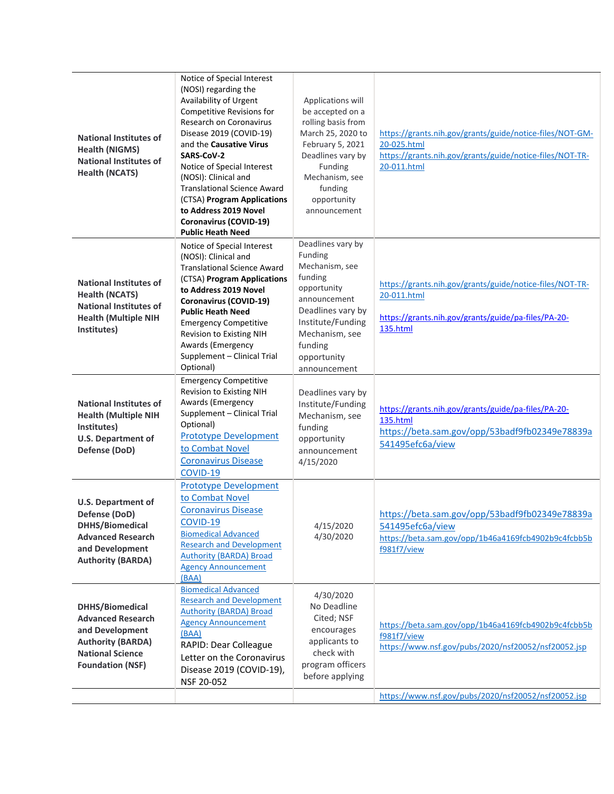| <b>National Institutes of</b><br><b>Health (NIGMS)</b><br><b>National Institutes of</b><br><b>Health (NCATS)</b>                                 | Notice of Special Interest<br>(NOSI) regarding the<br>Availability of Urgent<br>Competitive Revisions for<br>Research on Coronavirus<br>Disease 2019 (COVID-19)<br>and the Causative Virus<br>SARS-CoV-2<br>Notice of Special Interest<br>(NOSI): Clinical and<br><b>Translational Science Award</b><br>(CTSA) Program Applications<br>to Address 2019 Novel<br><b>Coronavirus (COVID-19)</b><br><b>Public Heath Need</b> | Applications will<br>be accepted on a<br>rolling basis from<br>March 25, 2020 to<br>February 5, 2021<br>Deadlines vary by<br>Funding<br>Mechanism, see<br>funding<br>opportunity<br>announcement | https://grants.nih.gov/grants/guide/notice-files/NOT-GM-<br>20-025.html<br>https://grants.nih.gov/grants/guide/notice-files/NOT-TR-<br>20-011.html |
|--------------------------------------------------------------------------------------------------------------------------------------------------|---------------------------------------------------------------------------------------------------------------------------------------------------------------------------------------------------------------------------------------------------------------------------------------------------------------------------------------------------------------------------------------------------------------------------|--------------------------------------------------------------------------------------------------------------------------------------------------------------------------------------------------|----------------------------------------------------------------------------------------------------------------------------------------------------|
| <b>National Institutes of</b><br><b>Health (NCATS)</b><br><b>National Institutes of</b><br><b>Health (Multiple NIH</b><br>Institutes)            | Notice of Special Interest<br>(NOSI): Clinical and<br><b>Translational Science Award</b><br>(CTSA) Program Applications<br>to Address 2019 Novel<br><b>Coronavirus (COVID-19)</b><br><b>Public Heath Need</b><br><b>Emergency Competitive</b><br>Revision to Existing NIH<br>Awards (Emergency<br>Supplement - Clinical Trial<br>Optional)                                                                                | Deadlines vary by<br>Funding<br>Mechanism, see<br>funding<br>opportunity<br>announcement<br>Deadlines vary by<br>Institute/Funding<br>Mechanism, see<br>funding<br>opportunity<br>announcement   | https://grants.nih.gov/grants/guide/notice-files/NOT-TR-<br>20-011.html<br>https://grants.nih.gov/grants/guide/pa-files/PA-20-<br>135.html         |
| <b>National Institutes of</b><br><b>Health (Multiple NIH</b><br>Institutes)<br><b>U.S. Department of</b><br>Defense (DoD)                        | <b>Emergency Competitive</b><br>Revision to Existing NIH<br>Awards (Emergency<br>Supplement - Clinical Trial<br>Optional)<br><b>Prototype Development</b><br>to Combat Novel<br><b>Coronavirus Disease</b><br>COVID-19                                                                                                                                                                                                    | Deadlines vary by<br>Institute/Funding<br>Mechanism, see<br>funding<br>opportunity<br>announcement<br>4/15/2020                                                                                  | https://grants.nih.gov/grants/guide/pa-files/PA-20-<br>135.html<br>https://beta.sam.gov/opp/53badf9fb02349e78839a<br>541495efc6a/view              |
| <b>U.S. Department of</b><br>Defense (DoD)<br>DHHS/Biomedical<br><b>Advanced Research</b><br>and Development<br><b>Authority (BARDA)</b>         | <b>Prototype Development</b><br>to Combat Novel<br><b>Coronavirus Disease</b><br>COVID-19<br><b>Biomedical Advanced</b><br><b>Research and Development</b><br><b>Authority (BARDA) Broad</b><br><b>Agency Announcement</b><br>(BAA)                                                                                                                                                                                       | 4/15/2020<br>4/30/2020                                                                                                                                                                           | https://beta.sam.gov/opp/53badf9fb02349e78839a<br>541495efc6a/view<br>https://beta.sam.gov/opp/1b46a4169fcb4902b9c4fcbb5b<br>f981f7/view           |
| DHHS/Biomedical<br><b>Advanced Research</b><br>and Development<br><b>Authority (BARDA)</b><br><b>National Science</b><br><b>Foundation (NSF)</b> | <b>Biomedical Advanced</b><br><b>Research and Development</b><br><b>Authority (BARDA) Broad</b><br><b>Agency Announcement</b><br>(BAA)<br>RAPID: Dear Colleague<br>Letter on the Coronavirus<br>Disease 2019 (COVID-19),<br>NSF 20-052                                                                                                                                                                                    | 4/30/2020<br>No Deadline<br>Cited; NSF<br>encourages<br>applicants to<br>check with<br>program officers<br>before applying                                                                       | https://beta.sam.gov/opp/1b46a4169fcb4902b9c4fcbb5b<br>f981f7/view<br>https://www.nsf.gov/pubs/2020/nsf20052/nsf20052.jsp                          |
|                                                                                                                                                  |                                                                                                                                                                                                                                                                                                                                                                                                                           |                                                                                                                                                                                                  | https://www.nsf.gov/pubs/2020/nsf20052/nsf20052.jsp                                                                                                |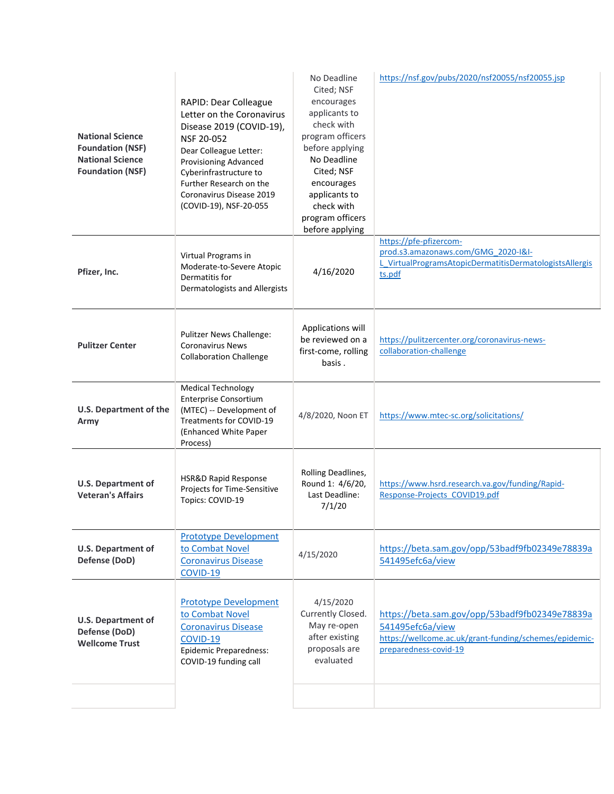| <b>National Science</b><br><b>Foundation (NSF)</b><br><b>National Science</b><br><b>Foundation (NSF)</b> | RAPID: Dear Colleague<br>Letter on the Coronavirus<br>Disease 2019 (COVID-19),<br>NSF 20-052<br>Dear Colleague Letter:<br>Provisioning Advanced<br>Cyberinfrastructure to<br>Further Research on the<br>Coronavirus Disease 2019<br>(COVID-19), NSF-20-055 | No Deadline<br>Cited; NSF<br>encourages<br>applicants to<br>check with<br>program officers<br>before applying<br>No Deadline<br>Cited; NSF<br>encourages<br>applicants to<br>check with<br>program officers<br>before applying | https://nsf.gov/pubs/2020/nsf20055/nsf20055.jsp                                                                                                       |
|----------------------------------------------------------------------------------------------------------|------------------------------------------------------------------------------------------------------------------------------------------------------------------------------------------------------------------------------------------------------------|--------------------------------------------------------------------------------------------------------------------------------------------------------------------------------------------------------------------------------|-------------------------------------------------------------------------------------------------------------------------------------------------------|
| Pfizer, Inc.                                                                                             | Virtual Programs in<br>Moderate-to-Severe Atopic<br>Dermatitis for<br>Dermatologists and Allergists                                                                                                                                                        | 4/16/2020                                                                                                                                                                                                                      | https://pfe-pfizercom-<br>prod.s3.amazonaws.com/GMG 2020-I&I-<br>L VirtualProgramsAtopicDermatitisDermatologistsAllergis<br>ts.pdf                    |
| <b>Pulitzer Center</b>                                                                                   | <b>Pulitzer News Challenge:</b><br><b>Coronavirus News</b><br><b>Collaboration Challenge</b>                                                                                                                                                               | Applications will<br>be reviewed on a<br>first-come, rolling<br>basis.                                                                                                                                                         | https://pulitzercenter.org/coronavirus-news-<br>collaboration-challenge                                                                               |
| <b>U.S. Department of the</b><br>Army                                                                    | <b>Medical Technology</b><br><b>Enterprise Consortium</b><br>(MTEC) -- Development of<br>Treatments for COVID-19<br>(Enhanced White Paper<br>Process)                                                                                                      | 4/8/2020, Noon ET                                                                                                                                                                                                              | https://www.mtec-sc.org/solicitations/                                                                                                                |
| <b>U.S. Department of</b><br><b>Veteran's Affairs</b>                                                    | <b>HSR&amp;D Rapid Response</b><br>Projects for Time-Sensitive<br>Topics: COVID-19                                                                                                                                                                         | Rolling Deadlines,<br>Round 1: 4/6/20,<br>Last Deadline:<br>7/1/20                                                                                                                                                             | https://www.hsrd.research.va.gov/funding/Rapid-<br>Response-Projects COVID19.pdf                                                                      |
| <b>U.S. Department of</b><br>Defense (DoD)                                                               | <b>Prototype Development</b><br>to Combat Novel<br><b>Coronavirus Disease</b><br>COVID-19                                                                                                                                                                  | 4/15/2020                                                                                                                                                                                                                      | https://beta.sam.gov/opp/53badf9fb02349e78839a<br>541495efc6a/view                                                                                    |
| <b>U.S. Department of</b><br>Defense (DoD)<br><b>Wellcome Trust</b>                                      | <b>Prototype Development</b><br>to Combat Novel<br><b>Coronavirus Disease</b><br>COVID-19<br>Epidemic Preparedness:<br>COVID-19 funding call                                                                                                               | 4/15/2020<br>Currently Closed.<br>May re-open<br>after existing<br>proposals are<br>evaluated                                                                                                                                  | https://beta.sam.gov/opp/53badf9fb02349e78839a<br>541495efc6a/view<br>https://wellcome.ac.uk/grant-funding/schemes/epidemic-<br>preparedness-covid-19 |
|                                                                                                          |                                                                                                                                                                                                                                                            |                                                                                                                                                                                                                                |                                                                                                                                                       |